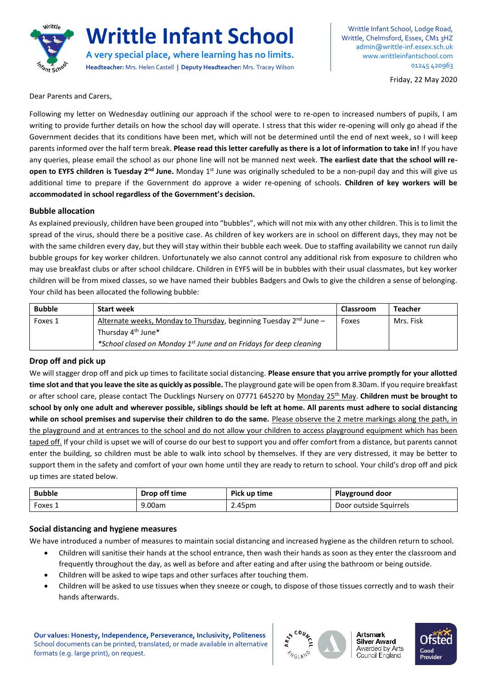

# **Writtle Infant School**

**A very special place, where learning has no limits. Headteacher:** Mrs. Helen Castell **| Deputy Headteacher:** Mrs. Tracey Wilson

Writtle Infant School, Lodge Road, Writtle, Chelmsford, Essex, CM1 3HZ [admin@writtle-inf.essex.sch.uk](mailto:admin@writtle-inf.essex.sch.uk) www.writtleinfantschool.com 01245 420963

Friday, 22 May 2020

Dear Parents and Carers,

Following my letter on Wednesday outlining our approach if the school were to re-open to increased numbers of pupils, I am writing to provide further details on how the school day will operate. I stress that this wider re-opening will only go ahead if the Government decides that its conditions have been met, which will not be determined until the end of next week, so I will keep parents informed over the half term break. **Please read this letter carefully as there is a lot of information to take in!** If you have any queries, please email the school as our phone line will not be manned next week. **The earliest date that the school will reopen to EYFS children is Tuesday 2nd June.** Monday 1st June was originally scheduled to be a non-pupil day and this will give us additional time to prepare if the Government do approve a wider re-opening of schools. **Children of key workers will be accommodated in school regardless of the Government's decision.** 

#### **Bubble allocation**

As explained previously, children have been grouped into "bubbles", which will not mix with any other children. This is to limit the spread of the virus, should there be a positive case. As children of key workers are in school on different days, they may not be with the same children every day, but they will stay within their bubble each week. Due to staffing availability we cannot run daily bubble groups for key worker children. Unfortunately we also cannot control any additional risk from exposure to children who may use breakfast clubs or after school childcare. Children in EYFS will be in bubbles with their usual classmates, but key worker children will be from mixed classes, so we have named their bubbles Badgers and Owls to give the children a sense of belonging. Your child has been allocated the following bubble:

| <b>Bubble</b> | <b>Start week</b>                                                              | Classroom | <b>Teacher</b> |
|---------------|--------------------------------------------------------------------------------|-----------|----------------|
| Foxes 1       | Alternate weeks, Monday to Thursday, beginning Tuesday $2^{nd}$ June –         | Foxes     | Mrs. Fisk      |
|               | Thursday 4 <sup>th</sup> June*                                                 |           |                |
|               | *School closed on Monday 1 <sup>st</sup> June and on Fridays for deep cleaning |           |                |

### **Drop off and pick up**

We will stagger drop off and pick up times to facilitate social distancing. **Please ensure that you arrive promptly for your allotted time slot and that you leave the site as quickly as possible.** The playground gate will be open from 8.30am. If you require breakfast or after school care, please contact The Ducklings Nursery on 07771 645270 by Monday 25th May. **Children must be brought to school by only one adult and wherever possible, siblings should be left at home. All parents must adhere to social distancing while on school premises and supervise their children to do the same.** Please observe the 2 metre markings along the path, in the playground and at entrances to the school and do not allow your children to access playground equipment which has been taped off. If your child is upset we will of course do our best to support you and offer comfort from a distance, but parents cannot enter the building, so children must be able to walk into school by themselves. If they are very distressed, it may be better to support them in the safety and comfort of your own home until they are ready to return to school. Your child's drop off and pick up times are stated below.

| <b>Bubble</b> | Drop off time | Pick up time | <b>Playground door</b> |  |
|---------------|---------------|--------------|------------------------|--|
| Foxes ⊥       | 9.00am        | 2.45pm       | Door outside Squirrels |  |

### **Social distancing and hygiene measures**

We have introduced a number of measures to maintain social distancing and increased hygiene as the children return to school.

- Children will sanitise their hands at the school entrance, then wash their hands as soon as they enter the classroom and frequently throughout the day, as well as before and after eating and after using the bathroom or being outside.
- Children will be asked to wipe taps and other surfaces after touching them.
- Children will be asked to use tissues when they sneeze or cough, to dispose of those tissues correctly and to wash their hands afterwards.

**Our values: Honesty, Independence, Perseverance, Inclusivity, Politeness** School documents can be printed, translated, or made available in alternative formats (e.g. large print), on request.



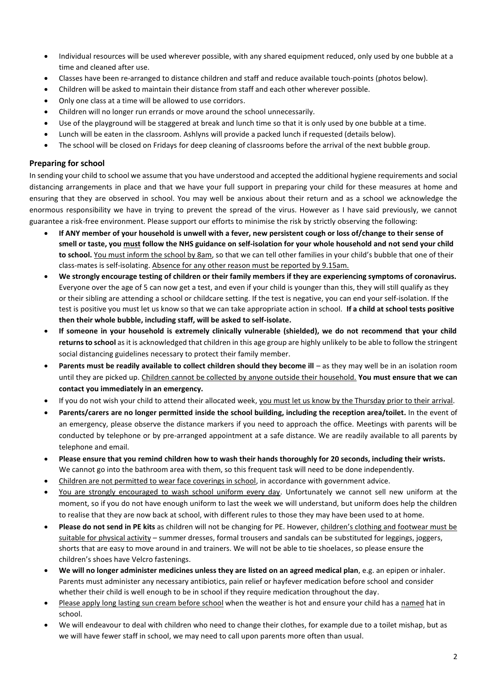- Individual resources will be used wherever possible, with any shared equipment reduced, only used by one bubble at a time and cleaned after use.
- Classes have been re-arranged to distance children and staff and reduce available touch-points (photos below).
- Children will be asked to maintain their distance from staff and each other wherever possible.
- Only one class at a time will be allowed to use corridors.
- Children will no longer run errands or move around the school unnecessarily.
- Use of the playground will be staggered at break and lunch time so that it is only used by one bubble at a time.
- Lunch will be eaten in the classroom. Ashlyns will provide a packed lunch if requested (details below).
- The school will be closed on Fridays for deep cleaning of classrooms before the arrival of the next bubble group.

## **Preparing for school**

In sending your child to school we assume that you have understood and accepted the additional hygiene requirements and social distancing arrangements in place and that we have your full support in preparing your child for these measures at home and ensuring that they are observed in school. You may well be anxious about their return and as a school we acknowledge the enormous responsibility we have in trying to prevent the spread of the virus. However as I have said previously, we cannot guarantee a risk-free environment. Please support our efforts to minimise the risk by strictly observing the following:

- **If ANY member of your household is unwell with a fever, new persistent cough or loss of/change to their sense of smell or taste, you must follow the NHS guidance on self-isolation for your whole household and not send your child to school.** You must inform the school by 8am, so that we can tell other families in your child's bubble that one of their class-mates is self-isolating. Absence for any other reason must be reported by 9.15am.
- **We strongly encourage testing of children or their family members if they are experiencing symptoms of coronavirus.**  Everyone over the age of 5 can now get a test, and even if your child is younger than this, they will still qualify as they or their sibling are attending a school or childcare setting. If the test is negative, you can end your self-isolation. If the test is positive you must let us know so that we can take appropriate action in school. **If a child at school tests positive then their whole bubble, including staff, will be asked to self-isolate.**
- **If someone in your household is extremely clinically vulnerable (shielded), we do not recommend that your child returns to school** as it is acknowledged that children in this age group are highly unlikely to be able to follow the stringent social distancing guidelines necessary to protect their family member.
- **Parents must be readily available to collect children should they become ill** as they may well be in an isolation room until they are picked up. Children cannot be collected by anyone outside their household. **You must ensure that we can contact you immediately in an emergency.**
- If you do not wish your child to attend their allocated week, you must let us know by the Thursday prior to their arrival.
- **Parents/carers are no longer permitted inside the school building, including the reception area/toilet.** In the event of an emergency, please observe the distance markers if you need to approach the office. Meetings with parents will be conducted by telephone or by pre-arranged appointment at a safe distance. We are readily available to all parents by telephone and email.
- **Please ensure that you remind children how to wash their hands thoroughly for 20 seconds, including their wrists.**  We cannot go into the bathroom area with them, so this frequent task will need to be done independently.
- Children are not permitted to wear face coverings in school, in accordance with government advice.
- You are strongly encouraged to wash school uniform every day. Unfortunately we cannot sell new uniform at the moment, so if you do not have enough uniform to last the week we will understand, but uniform does help the children to realise that they are now back at school, with different rules to those they may have been used to at home.
- **Please do not send in PE kits** as children will not be changing for PE. However, children's clothing and footwear must be suitable for physical activity – summer dresses, formal trousers and sandals can be substituted for leggings, joggers, shorts that are easy to move around in and trainers. We will not be able to tie shoelaces, so please ensure the children's shoes have Velcro fastenings.
- **We will no longer administer medicines unless they are listed on an agreed medical plan**, e.g. an epipen or inhaler. Parents must administer any necessary antibiotics, pain relief or hayfever medication before school and consider whether their child is well enough to be in school if they require medication throughout the day.
- Please apply long lasting sun cream before school when the weather is hot and ensure your child has a named hat in school.
- We will endeavour to deal with children who need to change their clothes, for example due to a toilet mishap, but as we will have fewer staff in school, we may need to call upon parents more often than usual.